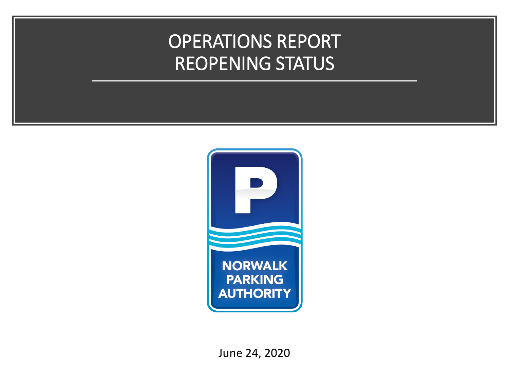### OPERATIONS REPORT REOPENING STATUS



June 24, 2020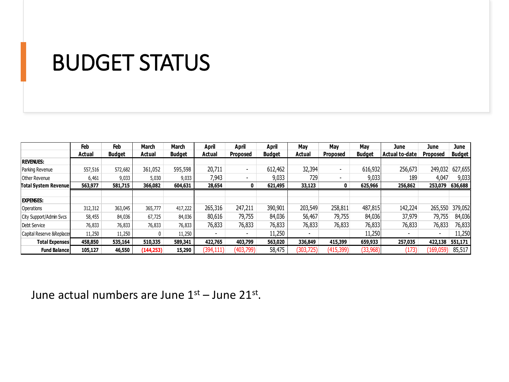# BUDGET STATUS

|                             | Feb     | Feb           | March      | March         | April                    | April                    | April         | May        | May             | Mav           | June                     | June                     | June          |
|-----------------------------|---------|---------------|------------|---------------|--------------------------|--------------------------|---------------|------------|-----------------|---------------|--------------------------|--------------------------|---------------|
|                             | Actual  | <b>Budget</b> | Actual     | <b>Budget</b> | Actual                   | <b>Proposed</b>          | <b>Budget</b> | Actual     | <b>Proposed</b> | <b>Budget</b> | Actual to-date           | <b>Proposed</b>          | <b>Budget</b> |
| <b>REVENUES:</b>            |         |               |            |               |                          |                          |               |            |                 |               |                          |                          |               |
| Parking Revenue             | 557,516 | 572,682       | 361,052    | 595,598       | 20,711                   | $\blacksquare$           | 612,462       | 32,394     |                 | 616,932       | 256,673                  | 249,032                  | 627,655       |
| Other Revenue               | 6,461   | 9,033         | 5,030      | 9,033         | 7.943                    | $\overline{\phantom{a}}$ | 9,033         | 729        |                 | 9,033         | 189                      | 4,047                    | 9,033         |
| <b>Total System Revenue</b> | 563,977 | 581,715       | 366,082    | 604,631       | 28,654                   | 0                        | 621,495       | 33,123     | 0               | 625,966       | 256,862                  | 253,079                  | 636,688       |
|                             |         |               |            |               |                          |                          |               |            |                 |               |                          |                          |               |
| <b>EXPENSES:</b>            |         |               |            |               |                          |                          |               |            |                 |               |                          |                          |               |
| Operations                  | 312,312 | 363,045       | 365,777    | 417,222       | 265,316                  | 247,211                  | 390,901       | 203,549    | 258,811         | 487,815       | 142,224                  | 265,550                  | 379,052       |
| City Support/Admin Svcs     | 58,455  | 84,036        | 67,725     | 84,036        | 80,616                   | 79,755                   | 84,036        | 56,467     | 79,755          | 84,036        | 37,979                   | 79,755                   | 84,036        |
| Debt Service                | 76,833  | 76,833        | 76,833     | 76,833        | 76,833                   | 76,833                   | 76,833        | 76,833     | 76,833          | 76,833        | 76,833                   | 76,833                   | 76,833        |
| Capital Reserve & Replacer  | 11,250  | 11,250        |            | 11,250        | $\overline{\phantom{a}}$ | $\overline{\phantom{a}}$ | 11,250        |            |                 | 11,250        | $\overline{\phantom{0}}$ | $\overline{\phantom{a}}$ | 11,250        |
| <b>Total Expenses</b>       | 458,850 | 535,164       | 510,335    | 589,341       | 422,765                  | 403,799                  | 563,020       | 336,849    | 415,399         | 659,933       | 257,035                  | 422,138                  | 551,171       |
| <b>Fund Balance</b>         | 105,127 | 46,550        | (144, 253) | 15,290        | (394,111)                | (403,799)                | 58,475        | (303, 725) | (415, 399)      | (33,968)      | (173)                    | (169, 059)               | 85,517        |

June actual numbers are June  $1^\text{st}$  – June 21 $^\text{st}$ .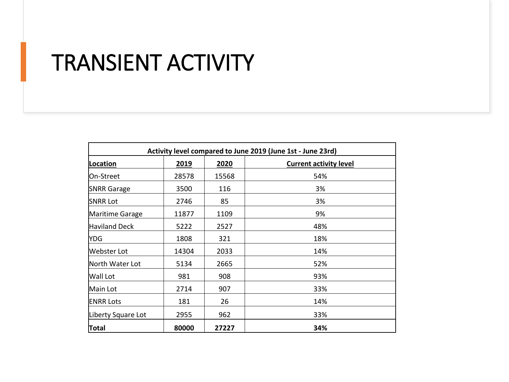# TRANSIENT ACTIVITY

| Activity level compared to June 2019 (June 1st - June 23rd) |       |       |                               |  |  |  |
|-------------------------------------------------------------|-------|-------|-------------------------------|--|--|--|
| Location                                                    | 2019  | 2020  | <b>Current activity level</b> |  |  |  |
| IOn-Street                                                  | 28578 | 15568 | 54%                           |  |  |  |
| <b>SNRR Garage</b>                                          | 3500  | 116   | 3%                            |  |  |  |
| <b>SNRR Lot</b>                                             | 2746  | 85    | 3%                            |  |  |  |
| Maritime Garage                                             | 11877 | 1109  | 9%                            |  |  |  |
| Haviland Deck                                               | 5222  | 2527  | 48%                           |  |  |  |
| <b>YDG</b>                                                  | 1808  | 321   | 18%                           |  |  |  |
| lWebster Lot                                                | 14304 | 2033  | 14%                           |  |  |  |
| North Water Lot                                             | 5134  | 2665  | 52%                           |  |  |  |
| <b>Wall Lot</b>                                             | 981   | 908   | 93%                           |  |  |  |
| lMain Lot                                                   | 2714  | 907   | 33%                           |  |  |  |
| <b>ENRR Lots</b>                                            | 181   | 26    | 14%                           |  |  |  |
| Liberty Square Lot                                          | 2955  | 962   | 33%                           |  |  |  |
| Total                                                       | 80000 | 27227 | 34%                           |  |  |  |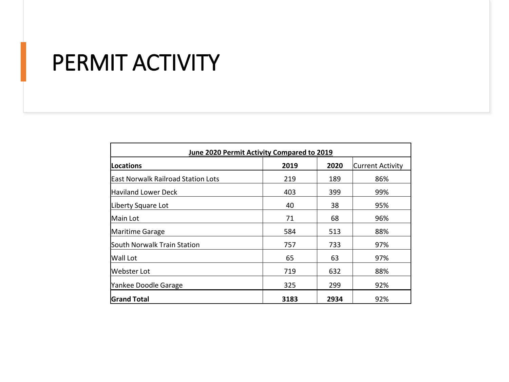# PERMIT ACTIVITY

| June 2020 Permit Activity Compared to 2019 |      |      |                         |  |  |  |
|--------------------------------------------|------|------|-------------------------|--|--|--|
| <b>Locations</b>                           | 2019 | 2020 | <b>Current Activity</b> |  |  |  |
| <b>East Norwalk Railroad Station Lots</b>  | 219  | 189  | 86%                     |  |  |  |
| lHaviland Lower Deck                       | 403  | 399  | 99%                     |  |  |  |
| Liberty Square Lot                         | 40   | 38   | 95%                     |  |  |  |
| Main Lot                                   | 71   | 68   | 96%                     |  |  |  |
| Maritime Garage                            | 584  | 513  | 88%                     |  |  |  |
| South Norwalk Train Station                | 757  | 733  | 97%                     |  |  |  |
| <b>Wall Lot</b>                            | 65   | 63   | 97%                     |  |  |  |
| Webster Lot                                | 719  | 632  | 88%                     |  |  |  |
| Yankee Doodle Garage                       | 325  | 299  | 92%                     |  |  |  |
| <b>Grand Total</b>                         | 3183 | 2934 | 92%                     |  |  |  |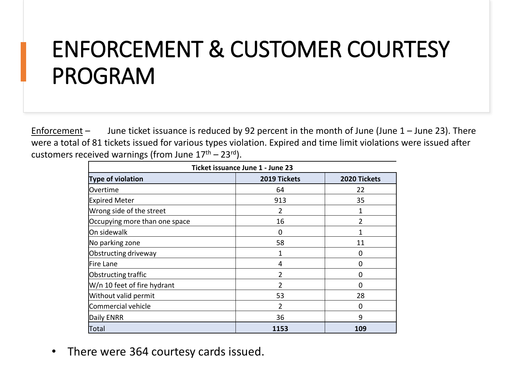# ENFORCEMENT & CUSTOMER COURTESY PROGRAM

Enforcement – June ticket issuance is reduced by 92 percent in the month of June (June  $1 -$  June 23). There were a total of 81 tickets issued for various types violation. Expired and time limit violations were issued after customers received warnings (from June  $17<sup>th</sup> - 23<sup>rd</sup>$ ).

| Ticket issuance June 1 - June 23 |                |              |  |  |  |  |
|----------------------------------|----------------|--------------|--|--|--|--|
| Type of violation                | 2019 Tickets   | 2020 Tickets |  |  |  |  |
| <b>lOvertime</b>                 | 64             | 22           |  |  |  |  |
| <b>Expired Meter</b>             | 913            | 35           |  |  |  |  |
| Wrong side of the street         | 2              | $\mathbf{1}$ |  |  |  |  |
| Occupying more than one space    | 16             | 2            |  |  |  |  |
| On sidewalk                      | 0              | 1            |  |  |  |  |
| No parking zone                  | 58             | 11           |  |  |  |  |
| Obstructing driveway             | 1              | 0            |  |  |  |  |
| <b>IFire Lane</b>                | 4              | O            |  |  |  |  |
| Obstructing traffic              | $\mathcal{P}$  | 0            |  |  |  |  |
| W/n 10 feet of fire hydrant      | $\overline{2}$ | 0            |  |  |  |  |
| Without valid permit             | 53             | 28           |  |  |  |  |
| Commercial vehicle               | 2              | O            |  |  |  |  |
| Daily ENRR                       | 36             | 9            |  |  |  |  |
| Total                            | 1153           | 109          |  |  |  |  |

• There were 364 courtesy cards issued.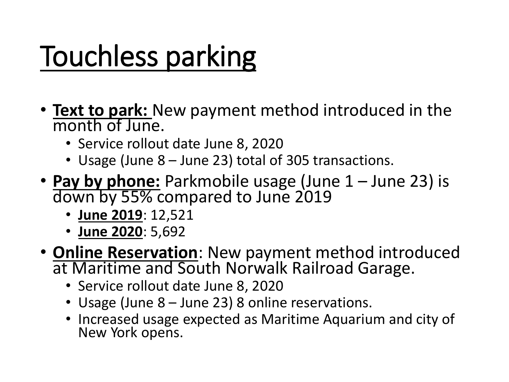# Touchless parking

- **Text to park:** New payment method introduced in the month of June.
	- Service rollout date June 8, 2020
	- Usage (June 8 June 23) total of 305 transactions.
- **Pay by phone:** Parkmobile usage (June 1 June 23) is down by 55% compared to June 2019
	- **June 2019**: 12,521
	- **June 2020**: 5,692
- **Online Reservation**: New payment method introduced at Maritime and South Norwalk Railroad Garage.
	- Service rollout date June 8, 2020
	- Usage (June 8 June 23) 8 online reservations.
	- Increased usage expected as Maritime Aquarium and city of New York opens.